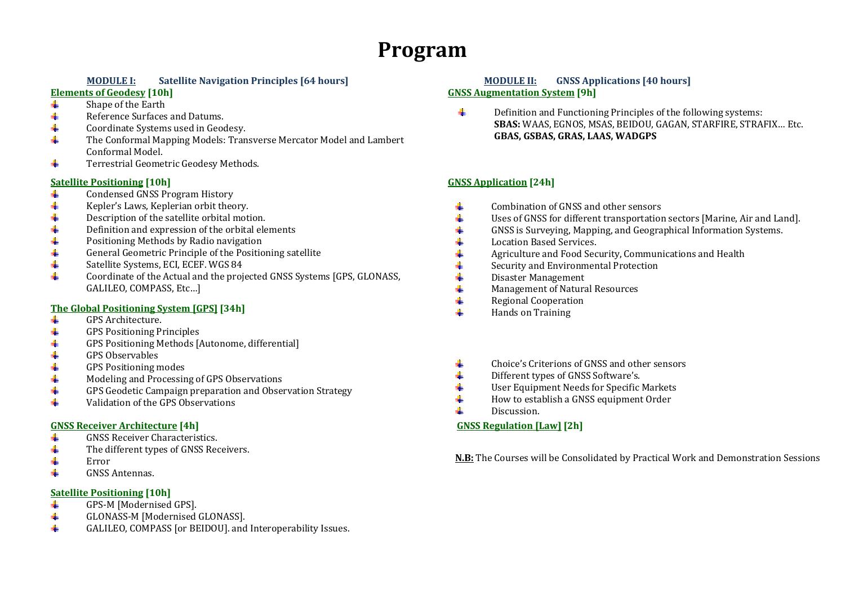# **Program**

## **MODULE**

#### **Elements of Geodesy [10h]**

- 4. Shape of the Earth
- $\ddot{\phantom{a}}$ Reference Surfaces and Datums.
- Coordinate Systems used in Geodesy.  $\ddot{}$
- $\frac{1}{2}$ The Conformal Mapping Models: Transverse Mercator Model and Lambert Conformal Model.
- $\ddot{\phantom{1}}$ Terrestrial Geometric Geodesy Methods.

#### **Satellite Positioning [10h]**

- Condensed GNSS Program History  $\ddot{\bullet}$
- Kepler's Laws, Keplerian orbit theory.  $\ddot{\phantom{a}}$
- $\ddot{\bullet}$ Description of the satellite orbital motion.
- ÷ Definition and expression of the orbital elements
- $\ddot{\phantom{1}}$ Positioning Methods by Radio navigation
- $\ddot{\phantom{1}}$ General Geometric Principle of the Positioning satellite
- Satellite Systems, ECI, ECEF. WGS 84 4
- $\ddot{\phantom{a}}$ Coordinate of the Actual and the projected GNSS Systems [GPS, GLONASS, GALILEO, COMPASS, Etc…]

## **The Global Positioning System [GPS] [34h]**

- ₩. GPS Architecture.
- 4.  $GPS$  Positioning Principles
- GPS Positioning Methods [Autonome, differential] ÷
- $\ddot{\phantom{1}}$ GPS Observables
- GPS Positioning modes  $\begin{array}{c} \hline \text{4} \\ \text{4} \\ \text{4} \end{array}$ 4.
- Modeling and Processing of GPS Observations 4.
- ÷ GPS Geodetic Campaign preparation and Observation Strategy
- $\frac{1}{2}$ Validation of the GPS Observations

#### **GNSS Receiver Architecture**

- 4 GNSS Receiver Characteristics.
- ÷ The different types of GNSS Receivers.
- 4. Error
- GNSS Antennas. ÷

#### **Satellite Positioning [10h]**

- GPS‐M [Modernised GPS]. ÷
- 41 GLONASS‐M [Modernised GLONASS].
- ÷ GALILEO, COMPASS [or BEIDOU]. and Interoperability Issues.

#### **I: Satellite Navigation Principles [64 hours] MODULE II: GNSS Applications [40 hours] of Geodesy [10h] GNSS Augmentation System [9h]**

 $\ddot{\bullet}$ Definition and Functioning Principles of the following systems: **SBAS:** WAAS, EGNOS, MSAS, BEIDOU, GAGAN, STARFIRE, STRAFIX… Etc. **GBAS, GSBAS, GRAS, LAAS, WADGPS**

# **Positioning [10h] GNSS Application [24h]**

- Combination of GNSS and other sensors  $\pm$
- Uses of GNSS for different transportation sectors [Marine, Air and Land].  $\ddagger$
- GNSS is Surveying, Mapping, and Geographical Information Systems. ÷.
- $\ddagger$ Location Based Services.
- ÷. Agriculture and Food Security, Communications and Health
- Security and Environmental Protection ۰
- $\frac{1}{2}$ Disaster Management
- $\ddot{\bullet}$ Management of Natural Resources
- $\frac{1}{2}$ Regional Cooperation
- Hands on Training **H**
- Choice's Criterions of GNSS and other sensors
- Different types of GNSS Software's.
- ÷. User Equipment Needs for Specific Markets
- ÷. How to establish a GNSS equipment Order
- d. Discussion.

# **[4h] GNSS Regulation [Law] [2h]**

**N.B:** The Courses will be Consolidated by Practical Work and Demonstration Sessions